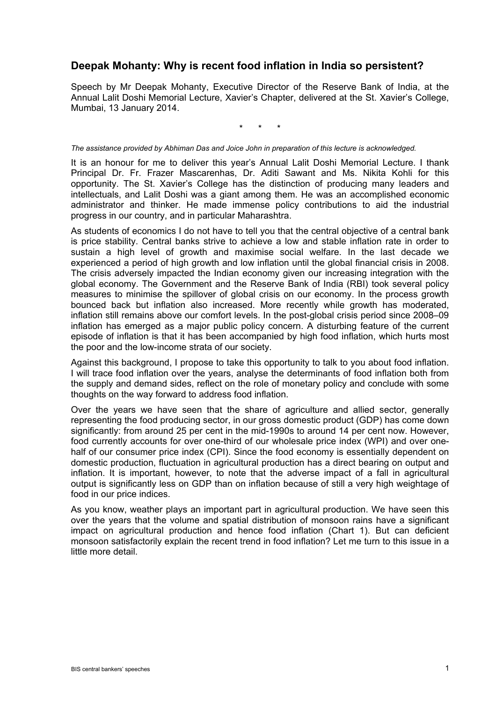## **Deepak Mohanty: Why is recent food inflation in India so persistent?**

Speech by Mr Deepak Mohanty, Executive Director of the Reserve Bank of India, at the Annual Lalit Doshi Memorial Lecture, Xavier's Chapter, delivered at the St. Xavier's College, Mumbai, 13 January 2014.

\* \* \*

## *The assistance provided by Abhiman Das and Joice John in preparation of this lecture is acknowledged.*

It is an honour for me to deliver this year's Annual Lalit Doshi Memorial Lecture. I thank Principal Dr. Fr. Frazer Mascarenhas, Dr. Aditi Sawant and Ms. Nikita Kohli for this opportunity. The St. Xavier's College has the distinction of producing many leaders and intellectuals, and Lalit Doshi was a giant among them. He was an accomplished economic administrator and thinker. He made immense policy contributions to aid the industrial progress in our country, and in particular Maharashtra.

As students of economics I do not have to tell you that the central objective of a central bank is price stability. Central banks strive to achieve a low and stable inflation rate in order to sustain a high level of growth and maximise social welfare. In the last decade we experienced a period of high growth and low inflation until the global financial crisis in 2008. The crisis adversely impacted the Indian economy given our increasing integration with the global economy. The Government and the Reserve Bank of India (RBI) took several policy measures to minimise the spillover of global crisis on our economy. In the process growth bounced back but inflation also increased. More recently while growth has moderated, inflation still remains above our comfort levels. In the post-global crisis period since 2008–09 inflation has emerged as a major public policy concern. A disturbing feature of the current episode of inflation is that it has been accompanied by high food inflation, which hurts most the poor and the low-income strata of our society.

Against this background, I propose to take this opportunity to talk to you about food inflation. I will trace food inflation over the years, analyse the determinants of food inflation both from the supply and demand sides, reflect on the role of monetary policy and conclude with some thoughts on the way forward to address food inflation.

Over the years we have seen that the share of agriculture and allied sector, generally representing the food producing sector, in our gross domestic product (GDP) has come down significantly: from around 25 per cent in the mid-1990s to around 14 per cent now. However, food currently accounts for over one-third of our wholesale price index (WPI) and over onehalf of our consumer price index (CPI). Since the food economy is essentially dependent on domestic production, fluctuation in agricultural production has a direct bearing on output and inflation. It is important, however, to note that the adverse impact of a fall in agricultural output is significantly less on GDP than on inflation because of still a very high weightage of food in our price indices.

As you know, weather plays an important part in agricultural production. We have seen this over the years that the volume and spatial distribution of monsoon rains have a significant impact on agricultural production and hence food inflation (Chart 1). But can deficient monsoon satisfactorily explain the recent trend in food inflation? Let me turn to this issue in a little more detail.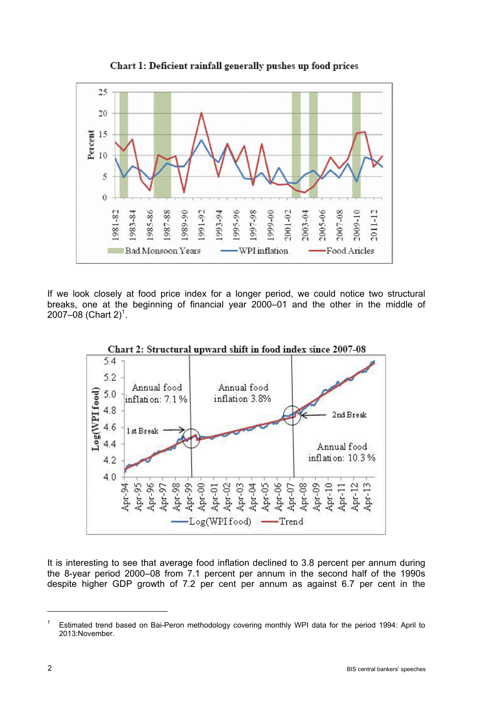

Chart 1: Deficient rainfall generally pushes up food prices

If we look closely at food price index for a longer period, we could notice two structural breaks, one at the beginning of financial year 2000–01 and the other in the middle of 2007–08 (Chart 2)<sup>1</sup>.



Chart 2: Structural upward shift in food index since 2007-08

It is interesting to see that average food inflation declined to 3.8 percent per annum during the 8-year period 2000–08 from 7.1 percent per annum in the second half of the 1990s despite higher GDP growth of 7.2 per cent per annum as against 6.7 per cent in the

<sup>1</sup> Estimated trend based on Bai-Peron methodology covering monthly WPI data for the period 1994: April to 2013:November.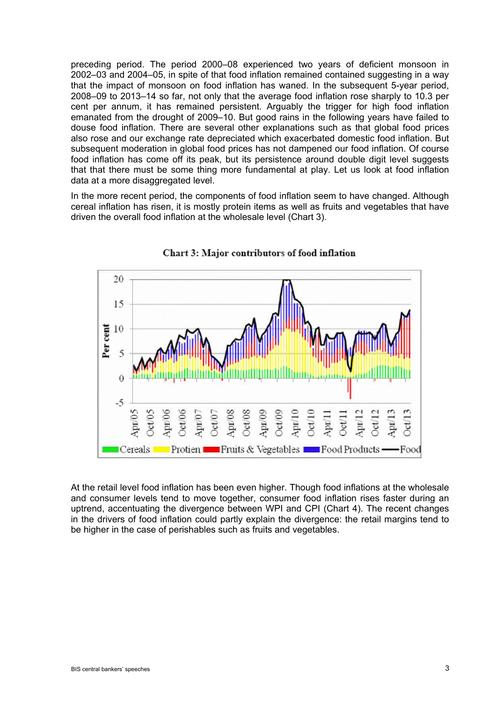preceding period. The period 2000–08 experienced two years of deficient monsoon in 2002–03 and 2004–05, in spite of that food inflation remained contained suggesting in a way that the impact of monsoon on food inflation has waned. In the subsequent 5-year period, 2008–09 to 2013–14 so far, not only that the average food inflation rose sharply to 10.3 per cent per annum, it has remained persistent. Arguably the trigger for high food inflation emanated from the drought of 2009–10. But good rains in the following years have failed to douse food inflation. There are several other explanations such as that global food prices also rose and our exchange rate depreciated which exacerbated domestic food inflation. But subsequent moderation in global food prices has not dampened our food inflation. Of course food inflation has come off its peak, but its persistence around double digit level suggests that that there must be some thing more fundamental at play. Let us look at food inflation data at a more disaggregated level.

In the more recent period, the components of food inflation seem to have changed. Although cereal inflation has risen, it is mostly protein items as well as fruits and vegetables that have driven the overall food inflation at the wholesale level (Chart 3).



Chart 3: Major contributors of food inflation

At the retail level food inflation has been even higher. Though food inflations at the wholesale and consumer levels tend to move together, consumer food inflation rises faster during an uptrend, accentuating the divergence between WPI and CPI (Chart 4). The recent changes in the drivers of food inflation could partly explain the divergence: the retail margins tend to be higher in the case of perishables such as fruits and vegetables.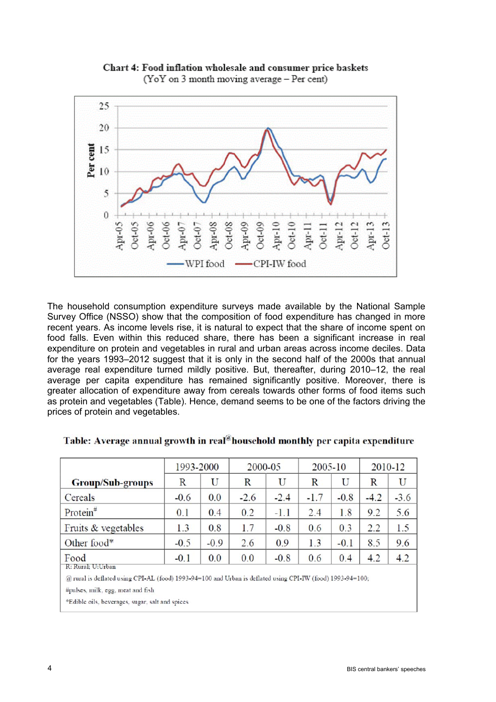

Chart 4: Food inflation wholesale and consumer price baskets (YoY on 3 month moving average - Per cent)

The household consumption expenditure surveys made available by the National Sample Survey Office (NSSO) show that the composition of food expenditure has changed in more recent years. As income levels rise, it is natural to expect that the share of income spent on food falls. Even within this reduced share, there has been a significant increase in real expenditure on protein and vegetables in rural and urban areas across income deciles. Data for the years 1993–2012 suggest that it is only in the second half of the 2000s that annual average real expenditure turned mildly positive. But, thereafter, during 2010–12, the real average per capita expenditure has remained significantly positive. Moreover, there is greater allocation of expenditure away from cereals towards other forms of food items such as protein and vegetables (Table). Hence, demand seems to be one of the factors driving the prices of protein and vegetables.

|                         | 1993-2000 |        | 2000-05 |        | 2005-10 |        | 2010-12 |        |
|-------------------------|-----------|--------|---------|--------|---------|--------|---------|--------|
| <b>Group/Sub-groups</b> | R         | U      | R       | U      | R       | U      | R       | U      |
| Cereals                 | $-0.6$    | 0.0    | $-2.6$  | $-2.4$ | $-1.7$  | $-0.8$ | $-4.2$  | $-3.6$ |
| $Protein$ #             | 0.1       | 0.4    | 0.2     | $-1.1$ | 2.4     | 1.8    | 9.2     | 5.6    |
| Fruits & vegetables     | 1.3       | 0.8    | 1.7     | $-0.8$ | 0.6     | 0.3    | 2.2     | 1.5    |
| Other food*             | $-0.5$    | $-0.9$ | 2.6     | 0.9    | 1.3     | $-0.1$ | 8.5     | 9.6    |
| Food                    | $-0.1$    | 0.0    | 0.0     | $-0.8$ | 0.6     | 0.4    | 4.2     | 4.2    |
| R: Rural; U:Urban       |           |        |         |        |         |        |         |        |

| Table: Average annual growth in real®household monthly per capita expenditure |  |  |  |
|-------------------------------------------------------------------------------|--|--|--|
|                                                                               |  |  |  |

@ rural is deflated using CPI-AL (food) 1993-94=100 and Urban is deflated using CPI-IW (food) 1993-94=100;

#pulses, milk, egg, meat and fish

\*Edible oils, beverages, sugar, salt and spices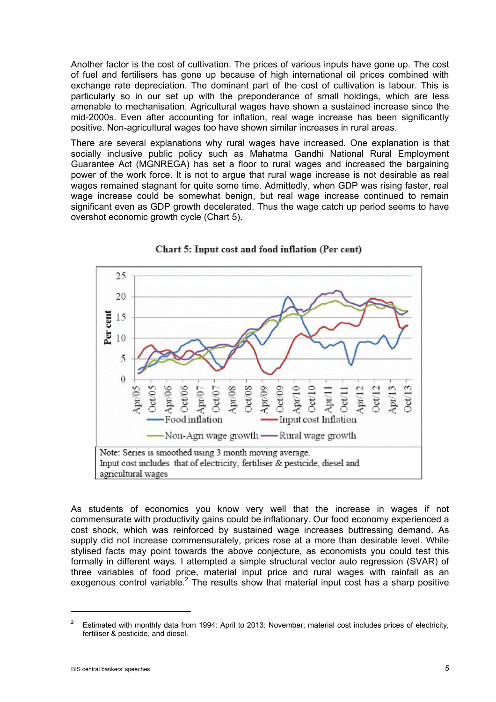Another factor is the cost of cultivation. The prices of various inputs have gone up. The cost of fuel and fertilisers has gone up because of high international oil prices combined with exchange rate depreciation. The dominant part of the cost of cultivation is labour. This is particularly so in our set up with the preponderance of small holdings, which are less amenable to mechanisation. Agricultural wages have shown a sustained increase since the mid-2000s. Even after accounting for inflation, real wage increase has been significantly positive. Non-agricultural wages too have shown similar increases in rural areas.

There are several explanations why rural wages have increased. One explanation is that socially inclusive public policy such as Mahatma Gandhi National Rural Employment Guarantee Act (MGNREGA) has set a floor to rural wages and increased the bargaining power of the work force. It is not to argue that rural wage increase is not desirable as real wages remained stagnant for quite some time. Admittedly, when GDP was rising faster, real wage increase could be somewhat benign, but real wage increase continued to remain significant even as GDP growth decelerated. Thus the wage catch up period seems to have overshot economic growth cycle (Chart 5).



Chart 5: Input cost and food inflation (Per cent)

As students of economics you know very well that the increase in wages if not commensurate with productivity gains could be inflationary. Our food economy experienced a cost shock, which was reinforced by sustained wage increases buttressing demand. As supply did not increase commensurately, prices rose at a more than desirable level. While stylised facts may point towards the above conjecture, as economists you could test this formally in different ways. I attempted a simple structural vector auto regression (SVAR) of three variables of food price, material input price and rural wages with rainfall as an exogenous control variable.<sup>2</sup> The results show that material input cost has a sharp positive

<sup>2</sup> Estimated with monthly data from 1994: April to 2013: November; material cost includes prices of electricity, fertiliser & pesticide, and diesel.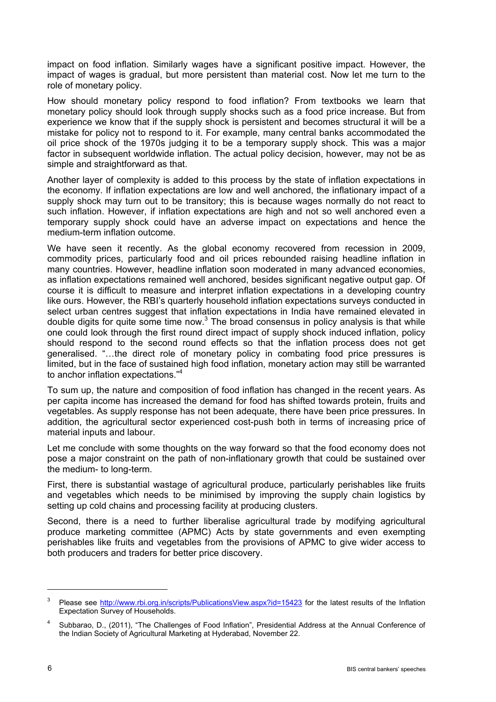impact on food inflation. Similarly wages have a significant positive impact. However, the impact of wages is gradual, but more persistent than material cost. Now let me turn to the role of monetary policy.

How should monetary policy respond to food inflation? From textbooks we learn that monetary policy should look through supply shocks such as a food price increase. But from experience we know that if the supply shock is persistent and becomes structural it will be a mistake for policy not to respond to it. For example, many central banks accommodated the oil price shock of the 1970s judging it to be a temporary supply shock. This was a major factor in subsequent worldwide inflation. The actual policy decision, however, may not be as simple and straightforward as that.

Another layer of complexity is added to this process by the state of inflation expectations in the economy. If inflation expectations are low and well anchored, the inflationary impact of a supply shock may turn out to be transitory; this is because wages normally do not react to such inflation. However, if inflation expectations are high and not so well anchored even a temporary supply shock could have an adverse impact on expectations and hence the medium-term inflation outcome.

We have seen it recently. As the global economy recovered from recession in 2009, commodity prices, particularly food and oil prices rebounded raising headline inflation in many countries. However, headline inflation soon moderated in many advanced economies, as inflation expectations remained well anchored, besides significant negative output gap. Of course it is difficult to measure and interpret inflation expectations in a developing country like ours. However, the RBI's quarterly household inflation expectations surveys conducted in select urban centres suggest that inflation expectations in India have remained elevated in double digits for quite some time now. $3$  The broad consensus in policy analysis is that while one could look through the first round direct impact of supply shock induced inflation, policy should respond to the second round effects so that the inflation process does not get generalised. "…the direct role of monetary policy in combating food price pressures is limited, but in the face of sustained high food inflation, monetary action may still be warranted to anchor inflation expectations."<sup>4</sup>

To sum up, the nature and composition of food inflation has changed in the recent years. As per capita income has increased the demand for food has shifted towards protein, fruits and vegetables. As supply response has not been adequate, there have been price pressures. In addition, the agricultural sector experienced cost-push both in terms of increasing price of material inputs and labour.

Let me conclude with some thoughts on the way forward so that the food economy does not pose a major constraint on the path of non-inflationary growth that could be sustained over the medium- to long-term.

First, there is substantial wastage of agricultural produce, particularly perishables like fruits and vegetables which needs to be minimised by improving the supply chain logistics by setting up cold chains and processing facility at producing clusters.

Second, there is a need to further liberalise agricultural trade by modifying agricultural produce marketing committee (APMC) Acts by state governments and even exempting perishables like fruits and vegetables from the provisions of APMC to give wider access to both producers and traders for better price discovery.

<sup>3</sup> Please see http://www.rbi.org.in/scripts/PublicationsView.aspx?id=15423 for the latest results of the Inflation Expectation Survey of Households.

<sup>4</sup> Subbarao, D., (2011), "The Challenges of Food Inflation", Presidential Address at the Annual Conference of the Indian Society of Agricultural Marketing at Hyderabad, November 22.